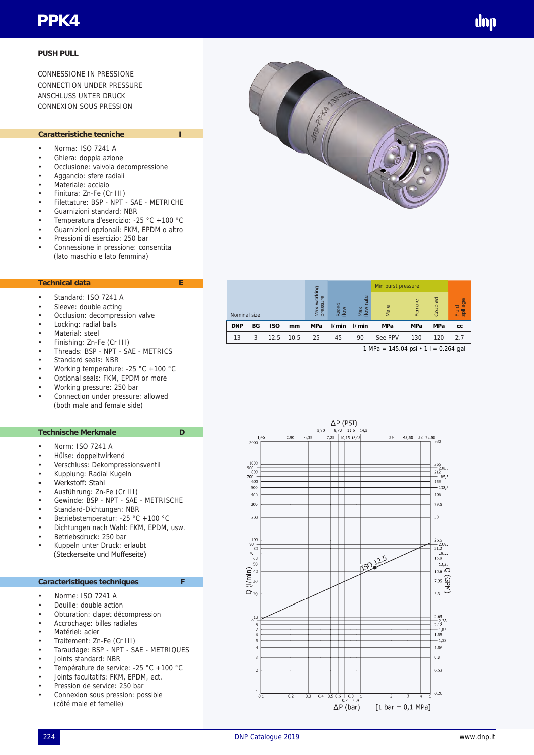# **PPK4**

## **PUSH PULL**

CONNESSIONE IN PRESSIONE CONNECTION UNDER PRESSURE **ANSCHLUSS UNTER DRUCK** CONNEXION SOUS PRESSION

## Caratteristiche tecniche

- Norma: ISO 7241 A
- Ghiera: doppia azione
- Occlusione: valvola decompressione
- Aggancio: sfere radiali
- Materiale: acciaio
- Finitura: Zn-Fe (Cr III)
- Filettature: BSP NPT SAE METRICHE
- Guarnizioni standard: NBR
- Temperatura d'esercizio: -25 °C +100 °C • Guarnizioni opzionali: FKM, EPDM o altro
- 
- Pressioni di esercizio: 250 bar
- Connessione in pressione: consentita (lato maschio e lato femmina)

#### **Technical data E**

- Standard: ISO 7241 A
- Sleeve: double acting
- Occlusion: decompression valve
- Locking: radial balls
- Material: steel
- Finishing: Zn-Fe (Cr III)
- Threads: BSP NPT SAE METRICS
- Standard seals: NBR
- Working temperature: -25 °C +100 °C
- Optional seals: FKM, EPDM or more
- Working pressure: 250 bar
- Connection under pressure: allowed (both male and female side)

#### **Technische Merkmale D**

- Norm: ISO 7241 A
- Hülse: doppeltwirkend
- Verschluss: Dekompressionsventil
- Kupplung: Radial Kugeln
- Werkstoff: Stahl
- Ausführung: Zn-Fe (Cr III)
- Gewinde: BSP NPT SAE METRISCHE
- Standard-Dichtungen: NBR
- Betriebstemperatur: -25 °C +100 °C
- Dichtungen nach Wahl: FKM, EPDM, usw.
- Betriebsdruck: 250 bar
- Kuppeln unter Druck: erlaubt (Steckerseite und Muffeseite)

### **Caracteristiques techniques F**

- Norme: ISO 7241 A
- Douille: double action
- Obturation: clapet décompression
- Accrochage: billes radiales
- Matériel: acier
- Traitement: Zn-Fe (Cr III)
- Taraudage: BSP NPT SAE METRIQUES
- Joints standard: NBR
- Température de service: -25 °C +100 °C
- Joints facultatifs: FKM, EPDM, ect.
- Pression de service: 250 bar
- Connexion sous pression: possible (côté male et femelle)

|            |              |            |      |                                                      |       |                    | Min burst pressure |            |            |               |  |
|------------|--------------|------------|------|------------------------------------------------------|-------|--------------------|--------------------|------------|------------|---------------|--|
|            | Nominal size |            |      | Vlax working<br>$\omega$<br>pressur<br>Rated<br>flow |       | ate<br>Max<br>flow | Male               | Female     | Coupled    | spillage<br>ᇎ |  |
| <b>DNP</b> | BG           | <b>ISO</b> | mm   | <b>MPa</b>                                           | l/min | I/min              | <b>MPa</b>         | <b>MPa</b> | <b>MPa</b> | CC            |  |
| 13         | 3            | 12.5       | 10.5 | 25                                                   | 45    | 90                 | See PPV            | 130        | 120        | 27            |  |

1 MPa =  $145.04$  psi  $\cdot$  1 l = 0.264 gal

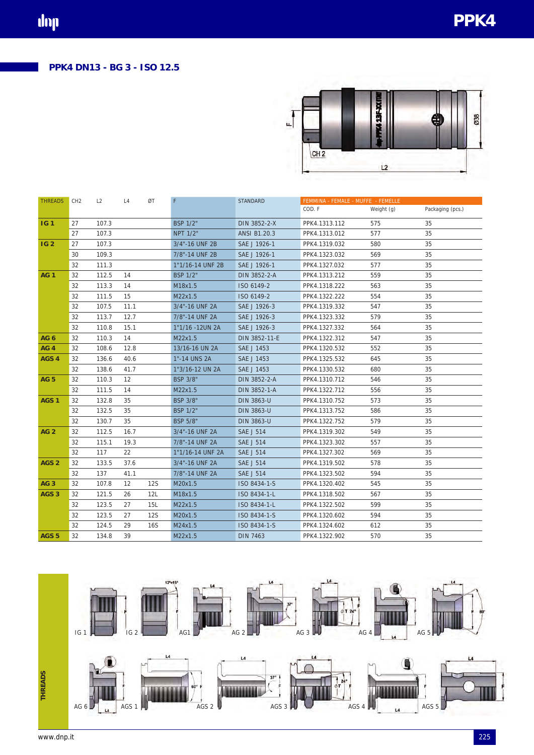

| <b>THREADS</b>   | CH <sub>2</sub> | L2    | L4                | ØT         | F                | <b>STANDARD</b>   | FEMMINA - FEMALE - MUFFE - FEMELLE |            |                  |
|------------------|-----------------|-------|-------------------|------------|------------------|-------------------|------------------------------------|------------|------------------|
|                  |                 |       |                   |            |                  |                   | COD. F                             | Weight (g) | Packaging (pcs.) |
| IG <sub>1</sub>  | 27              | 107.3 |                   |            | <b>BSP 1/2"</b>  | DIN 3852-2-X      | PPK4.1313.112                      | 575        | 35               |
|                  | 27              | 107.3 |                   |            | <b>NPT 1/2"</b>  | ANSI B1.20.3      | PPK4.1313.012                      | 577        | 35               |
| <b>IG2</b>       | 27              | 107.3 |                   |            | 3/4"-16 UNF 2B   | SAE J 1926-1      | PPK4.1319.032                      | 580        | 35               |
|                  | 30              | 109.3 |                   |            | 7/8"-14 UNF 2B   | SAE J 1926-1      | PPK4.1323.032                      | 569        | 35               |
|                  | 32              | 111.3 |                   |            | 1"1/16-14 UNF 2B | SAE J 1926-1      | PPK4.1327.032                      | 577        | 35               |
| <b>AG1</b>       | 32              | 112.5 | 14                |            | <b>BSP 1/2"</b>  | DIN 3852-2-A      | PPK4.1313.212                      | 559        | 35               |
|                  | 32              | 113.3 | 14                |            | M18x1.5          | ISO 6149-2        | PPK4.1318.222                      | 563        | 35               |
|                  | 32              | 111.5 | 15                |            | M22x1.5          | ISO 6149-2        | PPK4.1322.222                      | 554        | 35               |
|                  | 32              | 107.5 | 11.1              |            | 3/4"-16 UNF 2A   | SAE J 1926-3      | PPK4.1319.332                      | 547        | 35               |
|                  | 32              | 113.7 | 12.7              |            | 7/8"-14 UNF 2A   | SAE J 1926-3      | PPK4.1323.332                      | 579        | 35               |
|                  | 32              | 110.8 | 15.1              |            | 1"1/16 -12UN 2A  | SAE J 1926-3      | PPK4.1327.332                      | 564        | 35               |
| AG <sub>6</sub>  | 32              | 110.3 | 14                |            | M22x1.5          | DIN 3852-11-E     | PPK4.1322.312                      | 547        | 35               |
| AG <sub>4</sub>  | 32              | 108.6 | 12.8              |            | 13/16-16 UN 2A   | SAE J 1453        | PPK4.1320.532                      | 552        | 35               |
| AGS <sub>4</sub> | 32              | 136.6 | 40.6              |            | 1"-14 UNS 2A     | SAE J 1453        | PPK4.1325.532                      | 645        | 35               |
|                  | 32              | 138.6 | 41.7              |            | 1"3/16-12 UN 2A  | SAE J 1453        | PPK4.1330.532                      | 680        | 35               |
| <b>AG 5</b>      | 32              | 110.3 | 12                |            | <b>BSP 3/8"</b>  | DIN 3852-2-A      | PPK4.1310.712                      | 546        | 35               |
|                  | 32              | 111.5 | 14                |            | M22x1.5          | DIN 3852-1-A      | PPK4.1322.712                      | 556        | 35               |
| AGS <sub>1</sub> | 32              | 132.8 | 35                |            | <b>BSP 3/8"</b>  | DIN 3863-U        | PPK4.1310.752                      | 573        | 35               |
|                  | 32              | 132.5 | 35                |            | <b>BSP 1/2"</b>  | <b>DIN 3863-U</b> | PPK4.1313.752                      | 586        | 35               |
|                  | 32              | 130.7 | 35                |            | <b>BSP 5/8"</b>  | <b>DIN 3863-U</b> | PPK4.1322.752                      | 579        | 35               |
| AG <sub>2</sub>  | 32              | 112.5 | 16.7              |            | 3/4"-16 UNF 2A   | <b>SAE J 514</b>  | PPK4.1319.302                      | 549        | 35               |
|                  | 32              | 115.1 | 19.3              |            | 7/8"-14 UNF 2A   | <b>SAE J 514</b>  | PPK4.1323.302                      | 557        | 35               |
|                  | 32              | 117   | 22                |            | 1"1/16-14 UNF 2A | <b>SAE J 514</b>  | PPK4.1327.302                      | 569        | 35               |
| AGS <sub>2</sub> | 32              | 133.5 | 37.6              |            | 3/4"-16 UNF 2A   | <b>SAE J 514</b>  | PPK4.1319.502                      | 578        | 35               |
|                  | 32              | 137   | 41.1              |            | 7/8"-14 UNF 2A   | <b>SAE J 514</b>  | PPK4.1323.502                      | 594        | 35               |
| AG <sub>3</sub>  | 32              | 107.8 | $12 \overline{ }$ | <b>12S</b> | M20x1.5          | ISO 8434-1-S      | PPK4.1320.402                      | 545        | 35               |
| AGS <sub>3</sub> | 32              | 121.5 | 26                | 12L        | M18x1.5          | ISO 8434-1-L      | PPK4.1318.502                      | 567        | 35               |
|                  | 32              | 123.5 | 27                | 15L        | M22x1.5          | ISO 8434-1-L      | PPK4.1322.502                      | 599        | 35               |
|                  | 32              | 123.5 | 27                | 12S        | M20x1.5          | ISO 8434-1-S      | PPK4.1320.602                      | 594        | 35               |
|                  | 32              | 124.5 | 29                | 16S        | M24x1.5          | ISO 8434-1-S      | PPK4.1324.602                      | 612        | 35               |
| AGS <sub>5</sub> | 32              | 134.8 | 39                |            | M22x1.5          | DIN 7463          | PPK4.1322.902                      | 570        | 35               |